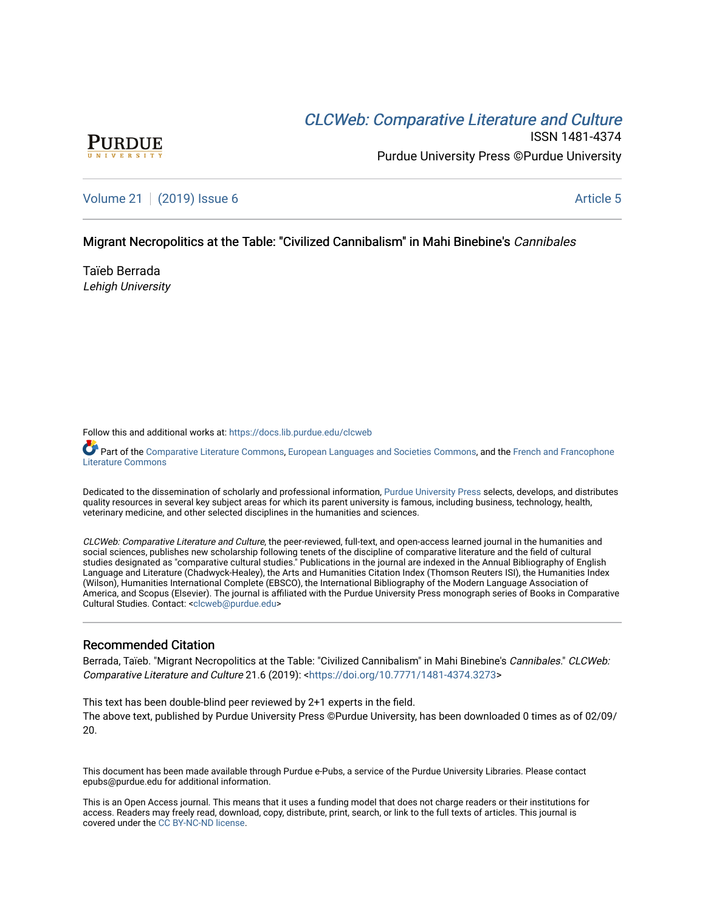# CLCW[eb: Comparative Liter](https://docs.lib.purdue.edu/clcweb)ature and Culture



ISSN 1481-4374 Purdue University Press ©Purdue University

[Volume 21](https://docs.lib.purdue.edu/clcweb/vol21) | [\(2019\) Issue 6](https://docs.lib.purdue.edu/clcweb/vol21/iss6) Article 5

### Migrant Necropolitics at the Table: "Civilized Cannibalism" in Mahi Binebine's Cannibales

Taïeb Berrada Lehigh University

Follow this and additional works at: [https://docs.lib.purdue.edu/clcweb](https://docs.lib.purdue.edu/clcweb?utm_source=docs.lib.purdue.edu%2Fclcweb%2Fvol21%2Fiss6%2F5&utm_medium=PDF&utm_campaign=PDFCoverPages)

Part of the [Comparative Literature Commons,](http://network.bepress.com/hgg/discipline/454?utm_source=docs.lib.purdue.edu%2Fclcweb%2Fvol21%2Fiss6%2F5&utm_medium=PDF&utm_campaign=PDFCoverPages) [European Languages and Societies Commons,](http://network.bepress.com/hgg/discipline/482?utm_source=docs.lib.purdue.edu%2Fclcweb%2Fvol21%2Fiss6%2F5&utm_medium=PDF&utm_campaign=PDFCoverPages) and the French and Francophone [Literature Commons](http://network.bepress.com/hgg/discipline/465?utm_source=docs.lib.purdue.edu%2Fclcweb%2Fvol21%2Fiss6%2F5&utm_medium=PDF&utm_campaign=PDFCoverPages) 

Dedicated to the dissemination of scholarly and professional information, [Purdue University Press](http://www.thepress.purdue.edu/) selects, develops, and distributes quality resources in several key subject areas for which its parent university is famous, including business, technology, health, veterinary medicine, and other selected disciplines in the humanities and sciences.

CLCWeb: Comparative Literature and Culture, the peer-reviewed, full-text, and open-access learned journal in the humanities and social sciences, publishes new scholarship following tenets of the discipline of comparative literature and the field of cultural studies designated as "comparative cultural studies." Publications in the journal are indexed in the Annual Bibliography of English Language and Literature (Chadwyck-Healey), the Arts and Humanities Citation Index (Thomson Reuters ISI), the Humanities Index (Wilson), Humanities International Complete (EBSCO), the International Bibliography of the Modern Language Association of America, and Scopus (Elsevier). The journal is affiliated with the Purdue University Press monograph series of Books in Comparative Cultural Studies. Contact: [<clcweb@purdue.edu](mailto:clcweb@purdue.edu)>

# Recommended Citation

Berrada, Taïeb. "Migrant Necropolitics at the Table: "Civilized Cannibalism" in Mahi Binebine's Cannibales." CLCWeb: Comparative Literature and Culture 21.6 (2019): <<https://doi.org/10.7771/1481-4374.3273>>

This text has been double-blind peer reviewed by 2+1 experts in the field. The above text, published by Purdue University Press ©Purdue University, has been downloaded 0 times as of 02/09/ 20.

This document has been made available through Purdue e-Pubs, a service of the Purdue University Libraries. Please contact epubs@purdue.edu for additional information.

This is an Open Access journal. This means that it uses a funding model that does not charge readers or their institutions for access. Readers may freely read, download, copy, distribute, print, search, or link to the full texts of articles. This journal is covered under the [CC BY-NC-ND license.](https://creativecommons.org/licenses/by-nc-nd/4.0/)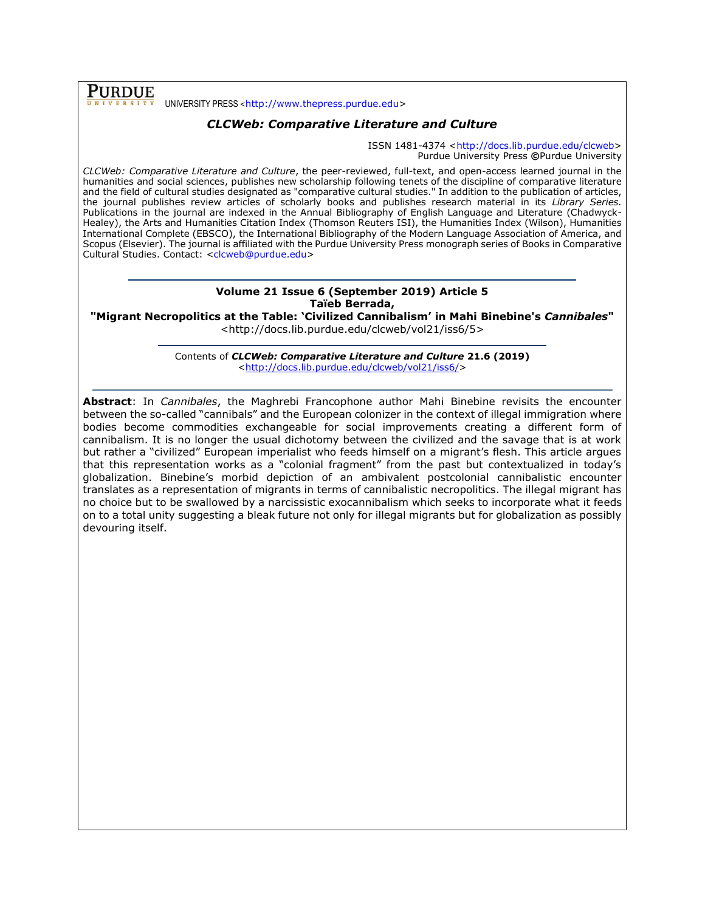**PURDUE** UNIVERSITY PRESS <[http://www.thepress.purdue.edu>](http://www.thepress.purdue.edu/)

# *CLCWeb: Comparative Literature and Culture*

ISSN 1481-4374 [<http://docs.lib.purdue.edu/clcweb>](http://docs.lib.purdue.edu/clcweb) Purdue University Press **©**Purdue University

*CLCWeb: Comparative Literature and Culture*, the peer-reviewed, full-text, and open-access learned journal in the humanities and social sciences, publishes new scholarship following tenets of the discipline of comparative literature and the field of cultural studies designated as "comparative cultural studies." In addition to the publication of articles, the journal publishes review articles of scholarly books and publishes research material in its *Library Series.*  Publications in the journal are indexed in the Annual Bibliography of English Language and Literature (Chadwyck-Healey), the Arts and Humanities Citation Index (Thomson Reuters ISI), the Humanities Index (Wilson), Humanities International Complete (EBSCO), the International Bibliography of the Modern Language Association of America, and Scopus (Elsevier). The journal is affiliated with the Purdue University Press monograph series of Books in Comparative Cultural Studies. Contact: [<clcweb@purdue.edu>](mailto:clcweb@purdue.edu)

## **Volume 21 Issue 6 (September 2019) Article 5 Taïeb Berrada,**

**"Migrant Necropolitics at the Table: 'Civilized Cannibalism' in Mahi Binebine's** *Cannibales***"** <http://docs.lib.purdue.edu/clcweb/vol21/iss6/5>

> Contents of *CLCWeb: Comparative Literature and Culture* **21.6 (2019)** [<http://docs.lib.purdue.edu/clcweb/vol21/iss6/>](http://docs.lib.purdue.edu/clcweb/vol21/iss6/)

**Abstract**: In *Cannibales*, the Maghrebi Francophone author Mahi Binebine revisits the encounter between the so-called "cannibals" and the European colonizer in the context of illegal immigration where bodies become commodities exchangeable for social improvements creating a different form of cannibalism. It is no longer the usual dichotomy between the civilized and the savage that is at work but rather a "civilized" European imperialist who feeds himself on a migrant's flesh. This article argues that this representation works as a "colonial fragment" from the past but contextualized in today's globalization. Binebine's morbid depiction of an ambivalent postcolonial cannibalistic encounter translates as a representation of migrants in terms of cannibalistic necropolitics. The illegal migrant has no choice but to be swallowed by a narcissistic exocannibalism which seeks to incorporate what it feeds on to a total unity suggesting a bleak future not only for illegal migrants but for globalization as possibly devouring itself.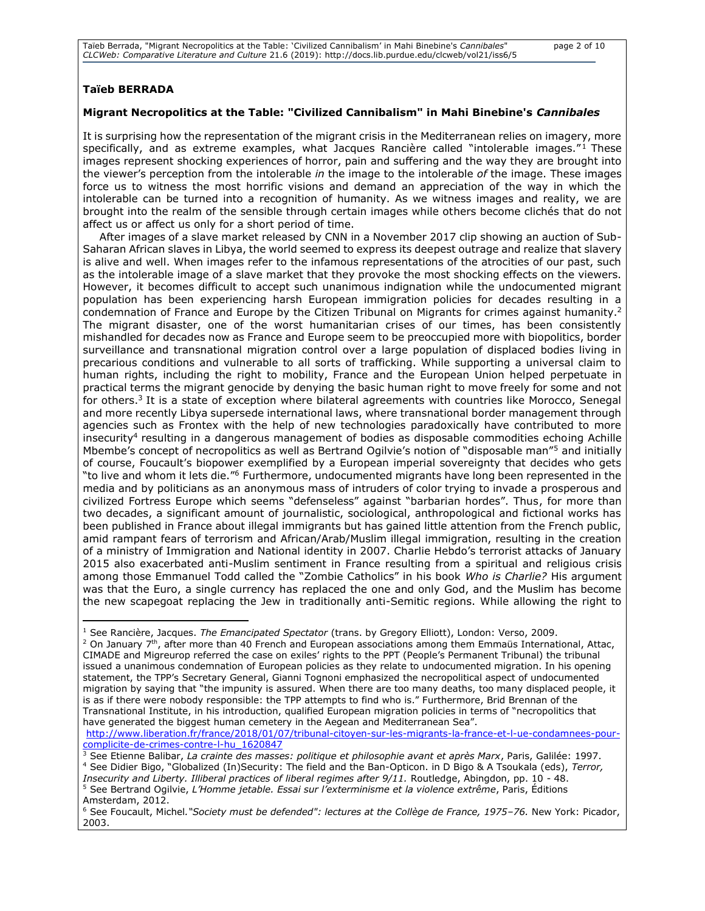#### **Taïeb BERRADA**

#### **Migrant Necropolitics at the Table: "Civilized Cannibalism" in Mahi Binebine's** *Cannibales*

It is surprising how the representation of the migrant crisis in the Mediterranean relies on imagery, more specifically, and as extreme examples, what Jacques Rancière called "intolerable images." $1$  These images represent shocking experiences of horror, pain and suffering and the way they are brought into the viewer's perception from the intolerable *in* the image to the intolerable *of* the image. These images force us to witness the most horrific visions and demand an appreciation of the way in which the intolerable can be turned into a recognition of humanity. As we witness images and reality, we are brought into the realm of the sensible through certain images while others become clichés that do not affect us or affect us only for a short period of time.

After images of a slave market released by CNN in a November 2017 clip showing an auction of Sub-Saharan African slaves in Libya, the world seemed to express its deepest outrage and realize that slavery is alive and well. When images refer to the infamous representations of the atrocities of our past, such as the intolerable image of a slave market that they provoke the most shocking effects on the viewers. However, it becomes difficult to accept such unanimous indignation while the undocumented migrant population has been experiencing harsh European immigration policies for decades resulting in a condemnation of France and Europe by the Citizen Tribunal on Migrants for crimes against humanity.<sup>2</sup> The migrant disaster, one of the worst humanitarian crises of our times, has been consistently mishandled for decades now as France and Europe seem to be preoccupied more with biopolitics, border surveillance and transnational migration control over a large population of displaced bodies living in precarious conditions and vulnerable to all sorts of trafficking. While supporting a universal claim to human rights, including the right to mobility, France and the European Union helped perpetuate in practical terms the migrant genocide by denying the basic human right to move freely for some and not for others.<sup>3</sup> It is a state of exception where bilateral agreements with countries like Morocco, Senegal and more recently Libya supersede international laws, where transnational border management through agencies such as Frontex with the help of new technologies paradoxically have contributed to more insecurity<sup>4</sup> resulting in a dangerous management of bodies as disposable commodities echoing Achille Mbembe's concept of necropolitics as well as Bertrand Ogilvie's notion of "disposable man"<sup>5</sup> and initially of course, Foucault's biopower exemplified by a European imperial sovereignty that decides who gets "to live and whom it lets die."<sup>6</sup> Furthermore, undocumented migrants have long been represented in the media and by politicians as an anonymous mass of intruders of color trying to invade a prosperous and civilized Fortress Europe which seems "defenseless" against "barbarian hordes". Thus, for more than two decades, a significant amount of journalistic, sociological, anthropological and fictional works has been published in France about illegal immigrants but has gained little attention from the French public, amid rampant fears of terrorism and African/Arab/Muslim illegal immigration, resulting in the creation of a ministry of Immigration and National identity in 2007. Charlie Hebdo's terrorist attacks of January 2015 also exacerbated anti-Muslim sentiment in France resulting from a spiritual and religious crisis among those Emmanuel Todd called the "Zombie Catholics" in his book *Who is Charlie?* His argument was that the Euro, a single currency has replaced the one and only God, and the Muslim has become the new scapegoat replacing the Jew in traditionally anti-Semitic regions. While allowing the right to

[http://www.liberation.fr/france/2018/01/07/tribunal-citoyen-sur-les-migrants-la-france-et-l-ue-condamnees-pour](http://www.liberation.fr/france/2018/01/07/tribunal-citoyen-sur-les-migrants-la-france-et-l-ue-condamnees-pour-complicite-de-crimes-contre-l-hu_1620847)[complicite-de-crimes-contre-l-hu\\_1620847](http://www.liberation.fr/france/2018/01/07/tribunal-citoyen-sur-les-migrants-la-france-et-l-ue-condamnees-pour-complicite-de-crimes-contre-l-hu_1620847)

<sup>3</sup> See Etienne Balibar, *La crainte des masses: politique et philosophie avant et après Marx*, Paris, Galilée: 1997. <sup>4</sup> See Didier Bigo, "Globalized (In)Security: The field and the Ban-Opticon. in D Bigo & A Tsoukala (eds), *Terror,* 

*Insecurity and Liberty. Illiberal practices of liberal regimes after 9/11.* Routledge, Abingdon, pp. 10 - 48. <sup>5</sup> See Bertrand Ogilvie, *L'Homme jetable. Essai sur l'exterminisme et la violence extrême*, Paris, Éditions Amsterdam, 2012.

<sup>1</sup> See Rancière, Jacques. *The Emancipated Spectator* (trans. by Gregory Elliott), London: Verso, 2009.  $2$  On January  $7<sup>th</sup>$ , after more than 40 French and European associations among them Emmaüs International, Attac, CIMADE and Migreurop referred the case on exiles' rights to the PPT (People's Permanent Tribunal) the tribunal issued a unanimous condemnation of European policies as they relate to undocumented migration. In his opening statement, the TPP's Secretary General, Gianni Tognoni emphasized the necropolitical aspect of undocumented migration by saying that "the impunity is assured. When there are too many deaths, too many displaced people, it is as if there were nobody responsible: the TPP attempts to find who is." Furthermore, Brid Brennan of the Transnational Institute, in his introduction, qualified European migration policies in terms of "necropolitics that have generated the biggest human cemetery in the Aegean and Mediterranean Sea".

<sup>6</sup> See Foucault, Michel*."Society must be defended": lectures at the Collège de France, 1975–76.* New York: Picador, 2003.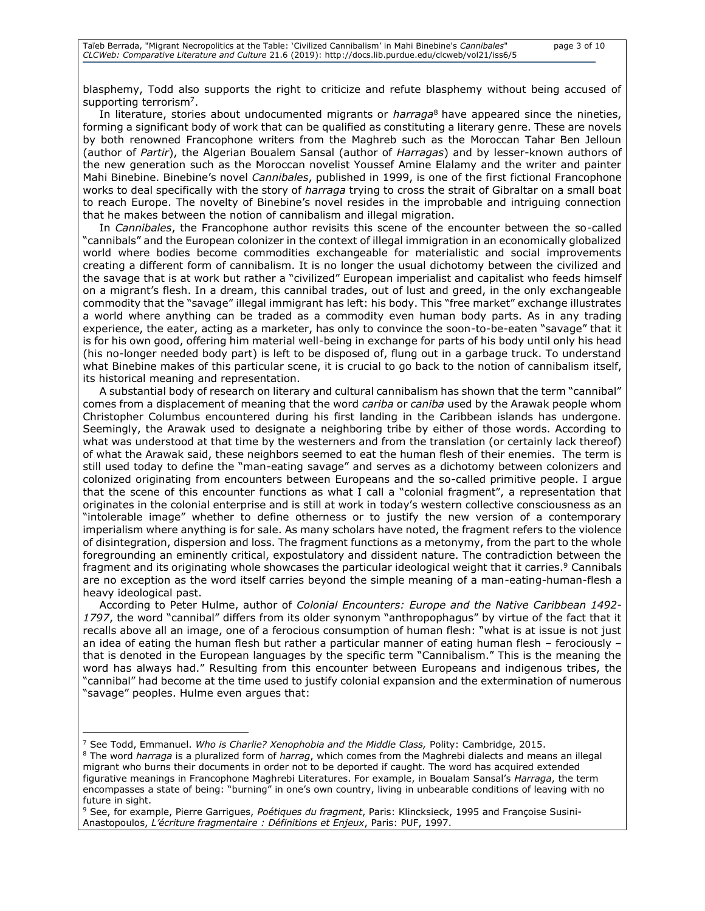blasphemy, Todd also supports the right to criticize and refute blasphemy without being accused of supporting terrorism<sup>7</sup>.

In literature, stories about undocumented migrants or *harraga*<sup>8</sup> have appeared since the nineties, forming a significant body of work that can be qualified as constituting a literary genre. These are novels by both renowned Francophone writers from the Maghreb such as the Moroccan Tahar Ben Jelloun (author of *Partir*), the Algerian Boualem Sansal (author of *Harragas*) and by lesser-known authors of the new generation such as the Moroccan novelist Youssef Amine Elalamy and the writer and painter Mahi Binebine. Binebine's novel *Cannibales*, published in 1999, is one of the first fictional Francophone works to deal specifically with the story of *harraga* trying to cross the strait of Gibraltar on a small boat to reach Europe. The novelty of Binebine's novel resides in the improbable and intriguing connection that he makes between the notion of cannibalism and illegal migration.

In *Cannibales*, the Francophone author revisits this scene of the encounter between the so-called "cannibals" and the European colonizer in the context of illegal immigration in an economically globalized world where bodies become commodities exchangeable for materialistic and social improvements creating a different form of cannibalism. It is no longer the usual dichotomy between the civilized and the savage that is at work but rather a "civilized" European imperialist and capitalist who feeds himself on a migrant's flesh. In a dream, this cannibal trades, out of lust and greed, in the only exchangeable commodity that the "savage" illegal immigrant has left: his body. This "free market" exchange illustrates a world where anything can be traded as a commodity even human body parts. As in any trading experience, the eater, acting as a marketer, has only to convince the soon-to-be-eaten "savage" that it is for his own good, offering him material well-being in exchange for parts of his body until only his head (his no-longer needed body part) is left to be disposed of, flung out in a garbage truck. To understand what Binebine makes of this particular scene, it is crucial to go back to the notion of cannibalism itself, its historical meaning and representation.

A substantial body of research on literary and cultural cannibalism has shown that the term "cannibal" comes from a displacement of meaning that the word *cariba* or *caniba* used by the Arawak people whom Christopher Columbus encountered during his first landing in the Caribbean islands has undergone. Seemingly, the Arawak used to designate a neighboring tribe by either of those words. According to what was understood at that time by the westerners and from the translation (or certainly lack thereof) of what the Arawak said, these neighbors seemed to eat the human flesh of their enemies. The term is still used today to define the "man-eating savage" and serves as a dichotomy between colonizers and colonized originating from encounters between Europeans and the so-called primitive people. I argue that the scene of this encounter functions as what I call a "colonial fragment", a representation that originates in the colonial enterprise and is still at work in today's western collective consciousness as an "intolerable image" whether to define otherness or to justify the new version of a contemporary imperialism where anything is for sale. As many scholars have noted, the fragment refers to the violence of disintegration, dispersion and loss. The fragment functions as a metonymy, from the part to the whole foregrounding an eminently critical, expostulatory and dissident nature. The contradiction between the fragment and its originating whole showcases the particular ideological weight that it carries.<sup>9</sup> Cannibals are no exception as the word itself carries beyond the simple meaning of a man-eating-human-flesh a heavy ideological past.

According to Peter Hulme, author of *Colonial Encounters: Europe and the Native Caribbean 1492- 1797*, the word "cannibal" differs from its older synonym "anthropophagus" by virtue of the fact that it recalls above all an image, one of a ferocious consumption of human flesh: "what is at issue is not just an idea of eating the human flesh but rather a particular manner of eating human flesh – ferociously that is denoted in the European languages by the specific term "Cannibalism." This is the meaning the word has always had." Resulting from this encounter between Europeans and indigenous tribes, the "cannibal" had become at the time used to justify colonial expansion and the extermination of numerous "savage" peoples. Hulme even argues that:

<sup>7</sup> See Todd, Emmanuel. *Who is Charlie? Xenophobia and the Middle Class,* Polity: Cambridge, 2015.

<sup>8</sup> The word *harraga* is a pluralized form of *harrag*, which comes from the Maghrebi dialects and means an illegal migrant who burns their documents in order not to be deported if caught. The word has acquired extended figurative meanings in Francophone Maghrebi Literatures. For example, in Boualam Sansal's *Harraga*, the term encompasses a state of being: "burning" in one's own country, living in unbearable conditions of leaving with no future in sight.

<sup>9</sup> See, for example, Pierre Garrigues, *Poétiques du fragment*, Paris: Klincksieck, 1995 and Françoise Susini-Anastopoulos, *L'écriture fragmentaire : Définitions et Enjeux*, Paris: PUF, 1997.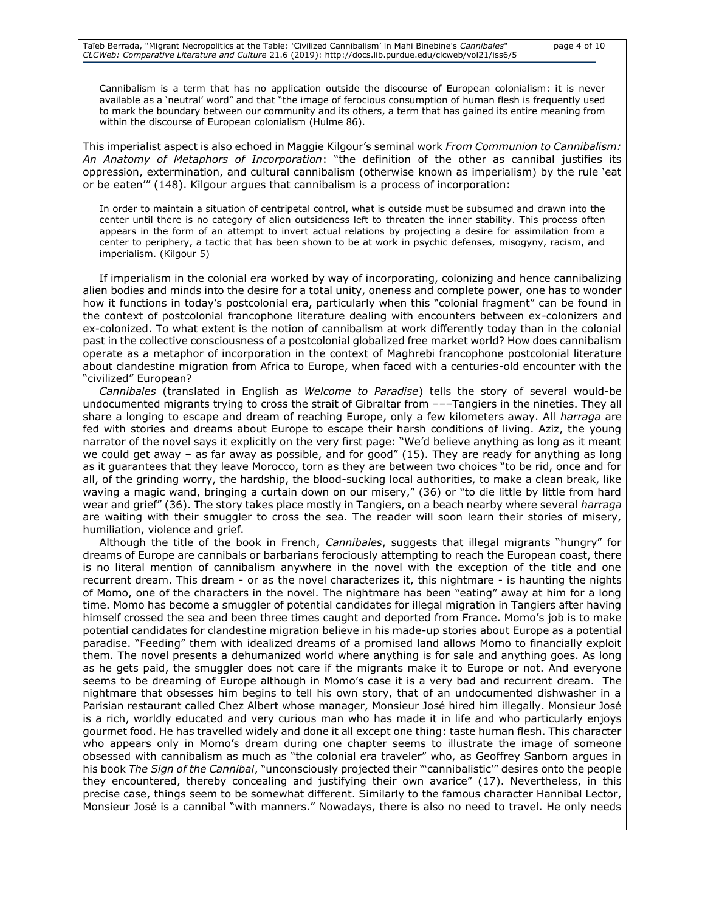Cannibalism is a term that has no application outside the discourse of European colonialism: it is never available as a 'neutral' word" and that "the image of ferocious consumption of human flesh is frequently used to mark the boundary between our community and its others, a term that has gained its entire meaning from within the discourse of European colonialism (Hulme 86).

This imperialist aspect is also echoed in Maggie Kilgour's seminal work *From Communion to Cannibalism: An Anatomy of Metaphors of Incorporation*: "the definition of the other as cannibal justifies its oppression, extermination, and cultural cannibalism (otherwise known as imperialism) by the rule 'eat or be eaten'" (148). Kilgour argues that cannibalism is a process of incorporation:

In order to maintain a situation of centripetal control, what is outside must be subsumed and drawn into the center until there is no category of alien outsideness left to threaten the inner stability. This process often appears in the form of an attempt to invert actual relations by projecting a desire for assimilation from a center to periphery, a tactic that has been shown to be at work in psychic defenses, misogyny, racism, and imperialism. (Kilgour 5)

If imperialism in the colonial era worked by way of incorporating, colonizing and hence cannibalizing alien bodies and minds into the desire for a total unity, oneness and complete power, one has to wonder how it functions in today's postcolonial era, particularly when this "colonial fragment" can be found in the context of postcolonial francophone literature dealing with encounters between ex-colonizers and ex-colonized. To what extent is the notion of cannibalism at work differently today than in the colonial past in the collective consciousness of a postcolonial globalized free market world? How does cannibalism operate as a metaphor of incorporation in the context of Maghrebi francophone postcolonial literature about clandestine migration from Africa to Europe, when faced with a centuries-old encounter with the "civilized" European?

*Cannibales* (translated in English as *Welcome to Paradise*) tells the story of several would-be undocumented migrants trying to cross the strait of Gibraltar from –––Tangiers in the nineties. They all share a longing to escape and dream of reaching Europe, only a few kilometers away. All *harraga* are fed with stories and dreams about Europe to escape their harsh conditions of living. Aziz, the young narrator of the novel says it explicitly on the very first page: "We'd believe anything as long as it meant we could get away - as far away as possible, and for good" (15). They are ready for anything as long as it guarantees that they leave Morocco, torn as they are between two choices "to be rid, once and for all, of the grinding worry, the hardship, the blood-sucking local authorities, to make a clean break, like waving a magic wand, bringing a curtain down on our misery," (36) or "to die little by little from hard wear and grief" (36). The story takes place mostly in Tangiers, on a beach nearby where several *harraga* are waiting with their smuggler to cross the sea. The reader will soon learn their stories of misery, humiliation, violence and grief.

Although the title of the book in French, *Cannibales*, suggests that illegal migrants "hungry" for dreams of Europe are cannibals or barbarians ferociously attempting to reach the European coast, there is no literal mention of cannibalism anywhere in the novel with the exception of the title and one recurrent dream. This dream - or as the novel characterizes it, this nightmare - is haunting the nights of Momo, one of the characters in the novel. The nightmare has been "eating" away at him for a long time. Momo has become a smuggler of potential candidates for illegal migration in Tangiers after having himself crossed the sea and been three times caught and deported from France. Momo's job is to make potential candidates for clandestine migration believe in his made-up stories about Europe as a potential paradise. "Feeding" them with idealized dreams of a promised land allows Momo to financially exploit them. The novel presents a dehumanized world where anything is for sale and anything goes. As long as he gets paid, the smuggler does not care if the migrants make it to Europe or not. And everyone seems to be dreaming of Europe although in Momo's case it is a very bad and recurrent dream. The nightmare that obsesses him begins to tell his own story, that of an undocumented dishwasher in a Parisian restaurant called Chez Albert whose manager, Monsieur José hired him illegally. Monsieur José is a rich, worldly educated and very curious man who has made it in life and who particularly enjoys gourmet food. He has travelled widely and done it all except one thing: taste human flesh. This character who appears only in Momo's dream during one chapter seems to illustrate the image of someone obsessed with cannibalism as much as "the colonial era traveler" who, as Geoffrey Sanborn argues in his book *The Sign of the Cannibal*, "unconsciously projected their "'cannibalistic'" desires onto the people they encountered, thereby concealing and justifying their own avarice" (17). Nevertheless, in this precise case, things seem to be somewhat different. Similarly to the famous character Hannibal Lector, Monsieur José is a cannibal "with manners." Nowadays, there is also no need to travel. He only needs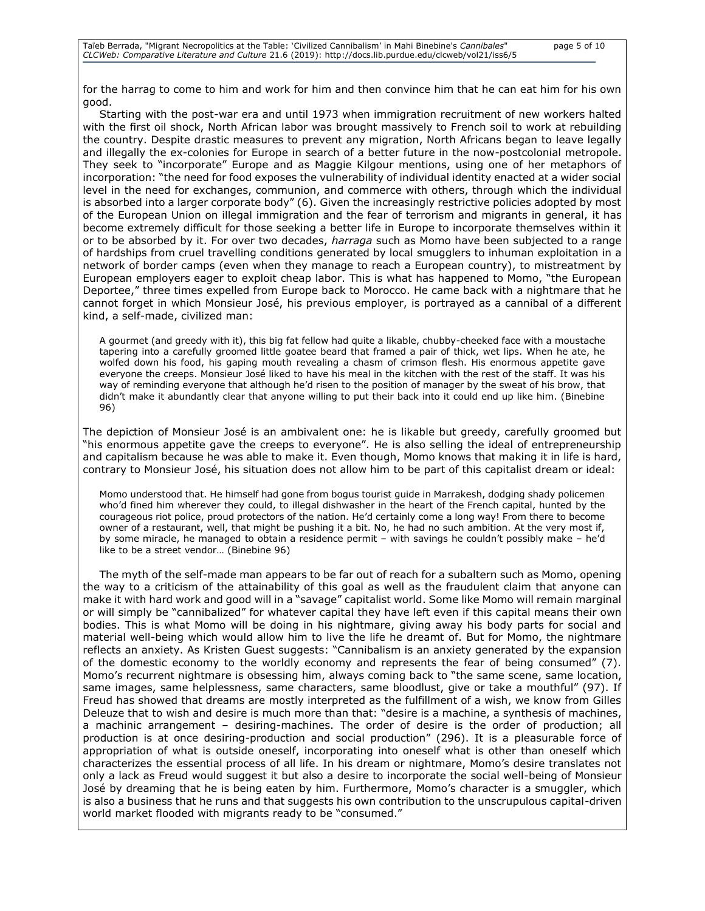for the harrag to come to him and work for him and then convince him that he can eat him for his own good.

Starting with the post-war era and until 1973 when immigration recruitment of new workers halted with the first oil shock, North African labor was brought massively to French soil to work at rebuilding the country. Despite drastic measures to prevent any migration, North Africans began to leave legally and illegally the ex-colonies for Europe in search of a better future in the now-postcolonial metropole. They seek to "incorporate" Europe and as Maggie Kilgour mentions, using one of her metaphors of incorporation: "the need for food exposes the vulnerability of individual identity enacted at a wider social level in the need for exchanges, communion, and commerce with others, through which the individual is absorbed into a larger corporate body" (6). Given the increasingly restrictive policies adopted by most of the European Union on illegal immigration and the fear of terrorism and migrants in general, it has become extremely difficult for those seeking a better life in Europe to incorporate themselves within it or to be absorbed by it. For over two decades, *harraga* such as Momo have been subjected to a range of hardships from cruel travelling conditions generated by local smugglers to inhuman exploitation in a network of border camps (even when they manage to reach a European country), to mistreatment by European employers eager to exploit cheap labor. This is what has happened to Momo, "the European Deportee," three times expelled from Europe back to Morocco. He came back with a nightmare that he cannot forget in which Monsieur José, his previous employer, is portrayed as a cannibal of a different kind, a self-made, civilized man:

A gourmet (and greedy with it), this big fat fellow had quite a likable, chubby-cheeked face with a moustache tapering into a carefully groomed little goatee beard that framed a pair of thick, wet lips. When he ate, he wolfed down his food, his gaping mouth revealing a chasm of crimson flesh. His enormous appetite gave everyone the creeps. Monsieur José liked to have his meal in the kitchen with the rest of the staff. It was his way of reminding everyone that although he'd risen to the position of manager by the sweat of his brow, that didn't make it abundantly clear that anyone willing to put their back into it could end up like him. (Binebine 96)

The depiction of Monsieur José is an ambivalent one: he is likable but greedy, carefully groomed but "his enormous appetite gave the creeps to everyone". He is also selling the ideal of entrepreneurship and capitalism because he was able to make it. Even though, Momo knows that making it in life is hard, contrary to Monsieur José, his situation does not allow him to be part of this capitalist dream or ideal:

Momo understood that. He himself had gone from bogus tourist guide in Marrakesh, dodging shady policemen who'd fined him wherever they could, to illegal dishwasher in the heart of the French capital, hunted by the courageous riot police, proud protectors of the nation. He'd certainly come a long way! From there to become owner of a restaurant, well, that might be pushing it a bit. No, he had no such ambition. At the very most if, by some miracle, he managed to obtain a residence permit – with savings he couldn't possibly make – he'd like to be a street vendor… (Binebine 96)

The myth of the self-made man appears to be far out of reach for a subaltern such as Momo, opening the way to a criticism of the attainability of this goal as well as the fraudulent claim that anyone can make it with hard work and good will in a "savage" capitalist world. Some like Momo will remain marginal or will simply be "cannibalized" for whatever capital they have left even if this capital means their own bodies. This is what Momo will be doing in his nightmare, giving away his body parts for social and material well-being which would allow him to live the life he dreamt of. But for Momo, the nightmare reflects an anxiety. As Kristen Guest suggests: "Cannibalism is an anxiety generated by the expansion of the domestic economy to the worldly economy and represents the fear of being consumed" (7). Momo's recurrent nightmare is obsessing him, always coming back to "the same scene, same location, same images, same helplessness, same characters, same bloodlust, give or take a mouthful" (97). If Freud has showed that dreams are mostly interpreted as the fulfillment of a wish, we know from Gilles Deleuze that to wish and desire is much more than that: "desire is a machine, a synthesis of machines, a machinic arrangement – desiring-machines. The order of desire is the order of production; all production is at once desiring-production and social production" (296). It is a pleasurable force of appropriation of what is outside oneself, incorporating into oneself what is other than oneself which characterizes the essential process of all life. In his dream or nightmare, Momo's desire translates not only a lack as Freud would suggest it but also a desire to incorporate the social well-being of Monsieur José by dreaming that he is being eaten by him. Furthermore, Momo's character is a smuggler, which is also a business that he runs and that suggests his own contribution to the unscrupulous capital-driven world market flooded with migrants ready to be "consumed."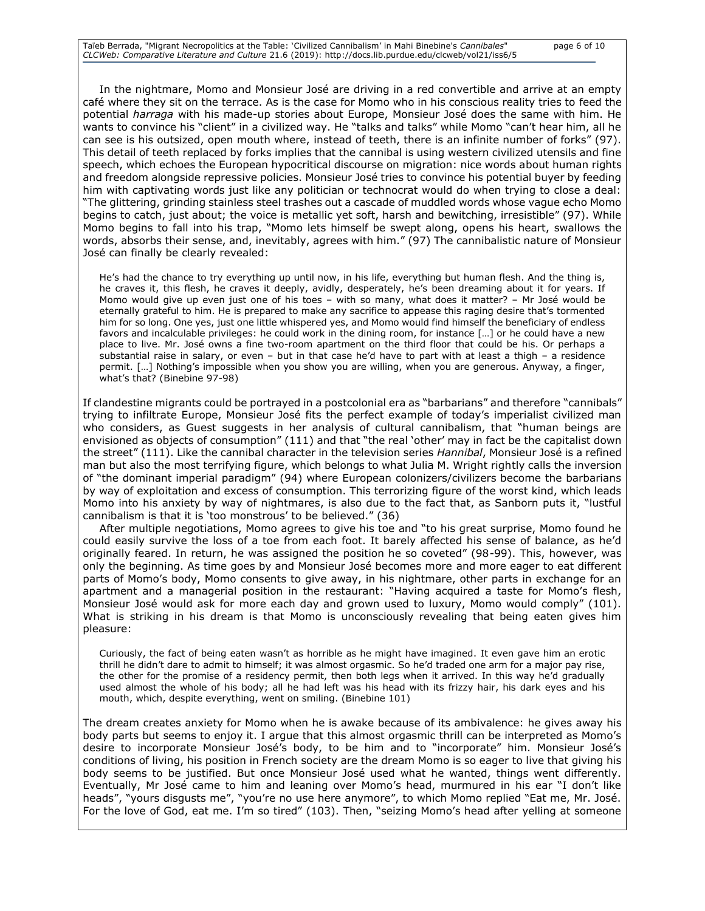In the nightmare, Momo and Monsieur José are driving in a red convertible and arrive at an empty café where they sit on the terrace. As is the case for Momo who in his conscious reality tries to feed the potential *harraga* with his made-up stories about Europe, Monsieur José does the same with him. He wants to convince his "client" in a civilized way. He "talks and talks" while Momo "can't hear him, all he can see is his outsized, open mouth where, instead of teeth, there is an infinite number of forks" (97). This detail of teeth replaced by forks implies that the cannibal is using western civilized utensils and fine speech, which echoes the European hypocritical discourse on migration: nice words about human rights and freedom alongside repressive policies. Monsieur José tries to convince his potential buyer by feeding him with captivating words just like any politician or technocrat would do when trying to close a deal: "The glittering, grinding stainless steel trashes out a cascade of muddled words whose vague echo Momo begins to catch, just about; the voice is metallic yet soft, harsh and bewitching, irresistible" (97). While Momo begins to fall into his trap, "Momo lets himself be swept along, opens his heart, swallows the words, absorbs their sense, and, inevitably, agrees with him." (97) The cannibalistic nature of Monsieur José can finally be clearly revealed:

He's had the chance to try everything up until now, in his life, everything but human flesh. And the thing is, he craves it, this flesh, he craves it deeply, avidly, desperately, he's been dreaming about it for years. If Momo would give up even just one of his toes – with so many, what does it matter? – Mr José would be eternally grateful to him. He is prepared to make any sacrifice to appease this raging desire that's tormented him for so long. One yes, just one little whispered yes, and Momo would find himself the beneficiary of endless favors and incalculable privileges: he could work in the dining room, for instance […] or he could have a new place to live. Mr. José owns a fine two-room apartment on the third floor that could be his. Or perhaps a substantial raise in salary, or even – but in that case he'd have to part with at least a thigh – a residence permit. […] Nothing's impossible when you show you are willing, when you are generous. Anyway, a finger, what's that? (Binebine 97-98)

If clandestine migrants could be portrayed in a postcolonial era as "barbarians" and therefore "cannibals" trying to infiltrate Europe, Monsieur José fits the perfect example of today's imperialist civilized man who considers, as Guest suggests in her analysis of cultural cannibalism, that "human beings are envisioned as objects of consumption" (111) and that "the real 'other' may in fact be the capitalist down the street" (111). Like the cannibal character in the television series *Hannibal*, Monsieur José is a refined man but also the most terrifying figure, which belongs to what Julia M. Wright rightly calls the inversion of "the dominant imperial paradigm" (94) where European colonizers/civilizers become the barbarians by way of exploitation and excess of consumption. This terrorizing figure of the worst kind, which leads Momo into his anxiety by way of nightmares, is also due to the fact that, as Sanborn puts it, "lustful cannibalism is that it is 'too monstrous' to be believed." (36)

After multiple negotiations, Momo agrees to give his toe and "to his great surprise, Momo found he could easily survive the loss of a toe from each foot. It barely affected his sense of balance, as he'd originally feared. In return, he was assigned the position he so coveted" (98-99). This, however, was only the beginning. As time goes by and Monsieur José becomes more and more eager to eat different parts of Momo's body, Momo consents to give away, in his nightmare, other parts in exchange for an apartment and a managerial position in the restaurant: "Having acquired a taste for Momo's flesh, Monsieur José would ask for more each day and grown used to luxury, Momo would comply" (101). What is striking in his dream is that Momo is unconsciously revealing that being eaten gives him pleasure:

Curiously, the fact of being eaten wasn't as horrible as he might have imagined. It even gave him an erotic thrill he didn't dare to admit to himself; it was almost orgasmic. So he'd traded one arm for a major pay rise, the other for the promise of a residency permit, then both legs when it arrived. In this way he'd gradually used almost the whole of his body; all he had left was his head with its frizzy hair, his dark eyes and his mouth, which, despite everything, went on smiling. (Binebine 101)

The dream creates anxiety for Momo when he is awake because of its ambivalence: he gives away his body parts but seems to enjoy it. I argue that this almost orgasmic thrill can be interpreted as Momo's desire to incorporate Monsieur José's body, to be him and to "incorporate" him. Monsieur José's conditions of living, his position in French society are the dream Momo is so eager to live that giving his body seems to be justified. But once Monsieur José used what he wanted, things went differently. Eventually, Mr José came to him and leaning over Momo's head, murmured in his ear "I don't like heads", "yours disgusts me", "you're no use here anymore", to which Momo replied "Eat me, Mr. José. For the love of God, eat me. I'm so tired" (103). Then, "seizing Momo's head after yelling at someone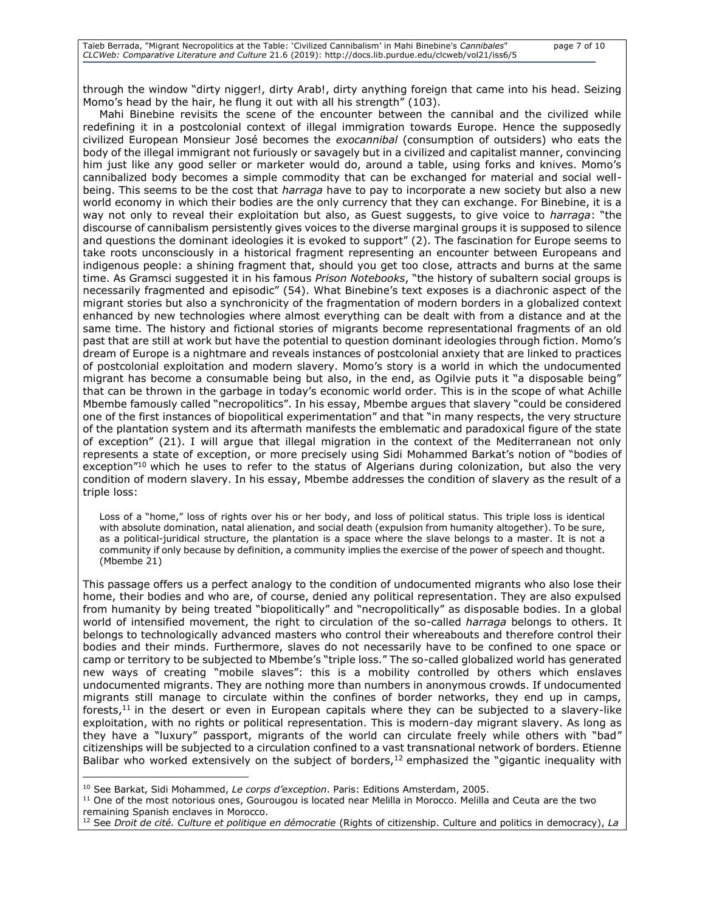through the window "dirty nigger!, dirty Arab!, dirty anything foreign that came into his head. Seizing Momo's head by the hair, he flung it out with all his strength" (103).

Mahi Binebine revisits the scene of the encounter between the cannibal and the civilized while redefining it in a postcolonial context of illegal immigration towards Europe. Hence the supposedly civilized European Monsieur José becomes the *exocannibal* (consumption of outsiders) who eats the body of the illegal immigrant not furiously or savagely but in a civilized and capitalist manner, convincing him just like any good seller or marketer would do, around a table, using forks and knives. Momo's cannibalized body becomes a simple commodity that can be exchanged for material and social wellbeing. This seems to be the cost that *harraga* have to pay to incorporate a new society but also a new world economy in which their bodies are the only currency that they can exchange. For Binebine, it is a way not only to reveal their exploitation but also, as Guest suggests, to give voice to *harraga*: "the discourse of cannibalism persistently gives voices to the diverse marginal groups it is supposed to silence and questions the dominant ideologies it is evoked to support" (2). The fascination for Europe seems to take roots unconsciously in a historical fragment representing an encounter between Europeans and indigenous people: a shining fragment that, should you get too close, attracts and burns at the same time. As Gramsci suggested it in his famous *Prison Notebooks*, "the history of subaltern social groups is necessarily fragmented and episodic" (54). What Binebine's text exposes is a diachronic aspect of the migrant stories but also a synchronicity of the fragmentation of modern borders in a globalized context enhanced by new technologies where almost everything can be dealt with from a distance and at the same time. The history and fictional stories of migrants become representational fragments of an old past that are still at work but have the potential to question dominant ideologies through fiction. Momo's dream of Europe is a nightmare and reveals instances of postcolonial anxiety that are linked to practices of postcolonial exploitation and modern slavery. Momo's story is a world in which the undocumented migrant has become a consumable being but also, in the end, as Ogilvie puts it "a disposable being" that can be thrown in the garbage in today's economic world order. This is in the scope of what Achille Mbembe famously called "necropolitics". In his essay, Mbembe argues that slavery "could be considered one of the first instances of biopolitical experimentation" and that "in many respects, the very structure of the plantation system and its aftermath manifests the emblematic and paradoxical figure of the state of exception" (21). I will argue that illegal migration in the context of the Mediterranean not only represents a state of exception, or more precisely using Sidi Mohammed Barkat's notion of "bodies of exception"<sup>10</sup> which he uses to refer to the status of Algerians during colonization, but also the very condition of modern slavery. In his essay, Mbembe addresses the condition of slavery as the result of a triple loss:

Loss of a "home," loss of rights over his or her body, and loss of political status. This triple loss is identical with absolute domination, natal alienation, and social death (expulsion from humanity altogether). To be sure, as a political-juridical structure, the plantation is a space where the slave belongs to a master. It is not a community if only because by definition, a community implies the exercise of the power of speech and thought. (Mbembe 21)

This passage offers us a perfect analogy to the condition of undocumented migrants who also lose their home, their bodies and who are, of course, denied any political representation. They are also expulsed from humanity by being treated "biopolitically" and "necropolitically" as disposable bodies. In a global world of intensified movement, the right to circulation of the so-called *harraga* belongs to others. It belongs to technologically advanced masters who control their whereabouts and therefore control their bodies and their minds. Furthermore, slaves do not necessarily have to be confined to one space or camp or territory to be subjected to Mbembe's "triple loss." The so-called globalized world has generated new ways of creating "mobile slaves": this is a mobility controlled by others which enslaves undocumented migrants. They are nothing more than numbers in anonymous crowds. If undocumented migrants still manage to circulate within the confines of border networks, they end up in camps, forests, $11$  in the desert or even in European capitals where they can be subjected to a slavery-like exploitation, with no rights or political representation. This is modern-day migrant slavery. As long as they have a "luxury" passport, migrants of the world can circulate freely while others with "bad" citizenships will be subjected to a circulation confined to a vast transnational network of borders. Etienne Balibar who worked extensively on the subject of borders,  $12$  emphasized the "gigantic inequality with

<sup>11</sup> One of the most notorious ones, Gourougou is located near Melilla in Morocco. Melilla and Ceuta are the two remaining Spanish enclaves in Morocco.

<sup>10</sup> See Barkat, Sidi Mohammed, *Le corps d'exception*. Paris: Editions Amsterdam, 2005.

<sup>&</sup>lt;sup>12</sup> See *Droit de cité. Culture et politique en démocratie* (Rights of citizenship. Culture and politics in democracy), La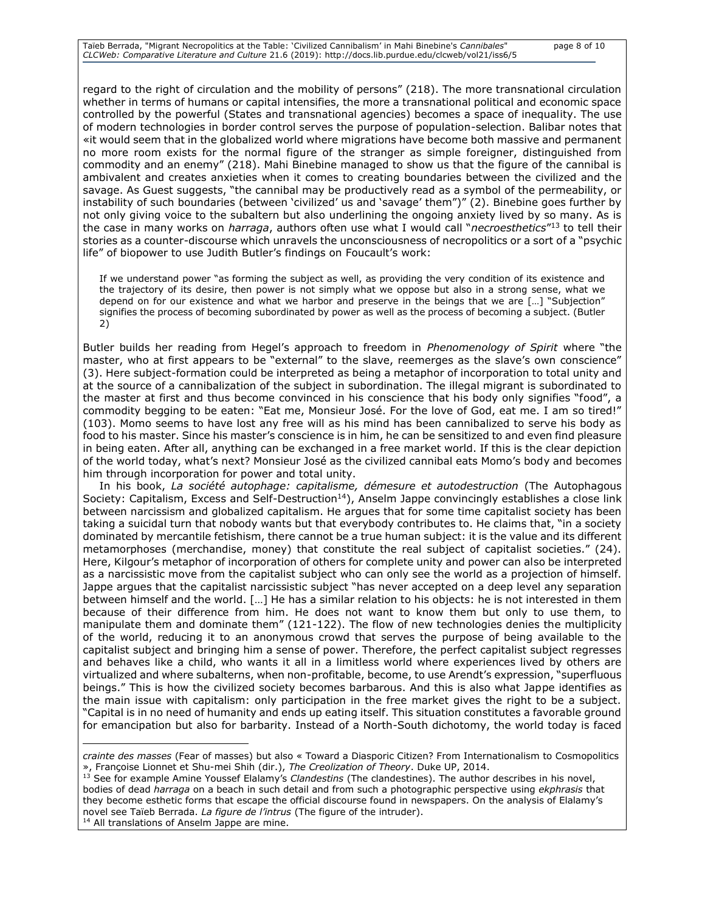regard to the right of circulation and the mobility of persons" (218). The more transnational circulation whether in terms of humans or capital intensifies, the more a transnational political and economic space controlled by the powerful (States and transnational agencies) becomes a space of inequality. The use of modern technologies in border control serves the purpose of population-selection. Balibar notes that «it would seem that in the globalized world where migrations have become both massive and permanent no more room exists for the normal figure of the stranger as simple foreigner, distinguished from commodity and an enemy" (218). Mahi Binebine managed to show us that the figure of the cannibal is ambivalent and creates anxieties when it comes to creating boundaries between the civilized and the savage. As Guest suggests, "the cannibal may be productively read as a symbol of the permeability, or instability of such boundaries (between 'civilized' us and 'savage' them")" (2). Binebine goes further by not only giving voice to the subaltern but also underlining the ongoing anxiety lived by so many. As is the case in many works on *harraga*, authors often use what I would call "*necroesthetics*" <sup>13</sup> to tell their stories as a counter-discourse which unravels the unconsciousness of necropolitics or a sort of a "psychic life" of biopower to use Judith Butler's findings on Foucault's work:

If we understand power "as forming the subject as well, as providing the very condition of its existence and the trajectory of its desire, then power is not simply what we oppose but also in a strong sense, what we depend on for our existence and what we harbor and preserve in the beings that we are […] "Subjection" signifies the process of becoming subordinated by power as well as the process of becoming a subject. (Butler 2)

Butler builds her reading from Hegel's approach to freedom in *Phenomenology of Spirit* where "the master, who at first appears to be "external" to the slave, reemerges as the slave's own conscience" (3). Here subject-formation could be interpreted as being a metaphor of incorporation to total unity and at the source of a cannibalization of the subject in subordination. The illegal migrant is subordinated to the master at first and thus become convinced in his conscience that his body only signifies "food", a commodity begging to be eaten: "Eat me, Monsieur José. For the love of God, eat me. I am so tired!" (103). Momo seems to have lost any free will as his mind has been cannibalized to serve his body as food to his master. Since his master's conscience is in him, he can be sensitized to and even find pleasure in being eaten. After all, anything can be exchanged in a free market world. If this is the clear depiction of the world today, what's next? Monsieur José as the civilized cannibal eats Momo's body and becomes him through incorporation for power and total unity.

In his book, *La société autophage: capitalisme, démesure et autodestruction* (The Autophagous Society: Capitalism, Excess and Self-Destruction<sup>14</sup>), Anselm Jappe convincingly establishes a close link between narcissism and globalized capitalism. He argues that for some time capitalist society has been taking a suicidal turn that nobody wants but that everybody contributes to. He claims that, "in a society dominated by mercantile fetishism, there cannot be a true human subject: it is the value and its different metamorphoses (merchandise, money) that constitute the real subject of capitalist societies." (24). Here, Kilgour's metaphor of incorporation of others for complete unity and power can also be interpreted as a narcissistic move from the capitalist subject who can only see the world as a projection of himself. Jappe argues that the capitalist narcissistic subject "has never accepted on a deep level any separation between himself and the world. […] He has a similar relation to his objects: he is not interested in them because of their difference from him. He does not want to know them but only to use them, to manipulate them and dominate them" (121-122). The flow of new technologies denies the multiplicity of the world, reducing it to an anonymous crowd that serves the purpose of being available to the capitalist subject and bringing him a sense of power. Therefore, the perfect capitalist subject regresses and behaves like a child, who wants it all in a limitless world where experiences lived by others are virtualized and where subalterns, when non-profitable, become, to use Arendt's expression, "superfluous beings." This is how the civilized society becomes barbarous. And this is also what Jappe identifies as the main issue with capitalism: only participation in the free market gives the right to be a subject. "Capital is in no need of humanity and ends up eating itself. This situation constitutes a favorable ground for emancipation but also for barbarity. Instead of a North-South dichotomy, the world today is faced

*crainte des masses* (Fear of masses) but also « Toward a Diasporic Citizen? From Internationalism to Cosmopolitics », Françoise Lionnet et Shu-mei Shih (dir.), *The Creolization of Theory*. Duke UP, 2014.

<sup>13</sup> See for example Amine Youssef Elalamy's *Clandestins* (The clandestines). The author describes in his novel, bodies of dead *harraga* on a beach in such detail and from such a photographic perspective using *ekphrasis* that they become esthetic forms that escape the official discourse found in newspapers. On the analysis of Elalamy's novel see Taïeb Berrada. *La figure de l'intrus* (The figure of the intruder).

<sup>&</sup>lt;sup>14</sup> All translations of Anselm Jappe are mine.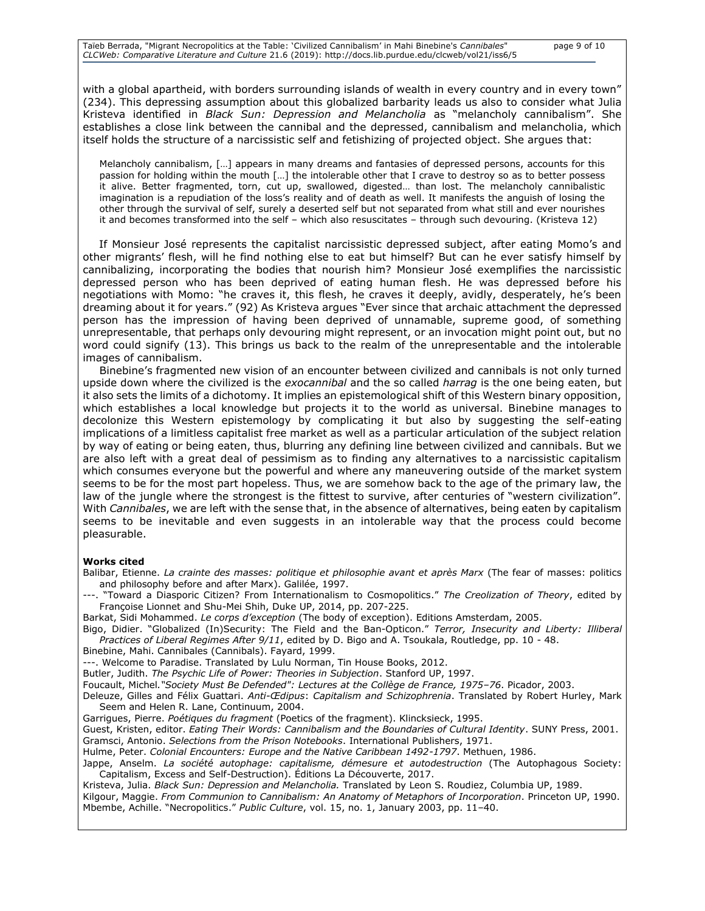with a global apartheid, with borders surrounding islands of wealth in every country and in every town" (234). This depressing assumption about this globalized barbarity leads us also to consider what Julia Kristeva identified in *Black Sun: Depression and Melancholia* as "melancholy cannibalism". She establishes a close link between the cannibal and the depressed, cannibalism and melancholia, which itself holds the structure of a narcissistic self and fetishizing of projected object. She argues that:

Melancholy cannibalism, […] appears in many dreams and fantasies of depressed persons, accounts for this passion for holding within the mouth […] the intolerable other that I crave to destroy so as to better possess it alive. Better fragmented, torn, cut up, swallowed, digested… than lost. The melancholy cannibalistic imagination is a repudiation of the loss's reality and of death as well. It manifests the anguish of losing the other through the survival of self, surely a deserted self but not separated from what still and ever nourishes it and becomes transformed into the self – which also resuscitates – through such devouring. (Kristeva 12)

If Monsieur José represents the capitalist narcissistic depressed subject, after eating Momo's and other migrants' flesh, will he find nothing else to eat but himself? But can he ever satisfy himself by cannibalizing, incorporating the bodies that nourish him? Monsieur José exemplifies the narcissistic depressed person who has been deprived of eating human flesh. He was depressed before his negotiations with Momo: "he craves it, this flesh, he craves it deeply, avidly, desperately, he's been dreaming about it for years." (92) As Kristeva argues "Ever since that archaic attachment the depressed person has the impression of having been deprived of unnamable, supreme good, of something unrepresentable, that perhaps only devouring might represent, or an invocation might point out, but no word could signify (13). This brings us back to the realm of the unrepresentable and the intolerable images of cannibalism.

Binebine's fragmented new vision of an encounter between civilized and cannibals is not only turned upside down where the civilized is the *exocannibal* and the so called *harrag* is the one being eaten, but it also sets the limits of a dichotomy. It implies an epistemological shift of this Western binary opposition, which establishes a local knowledge but projects it to the world as universal. Binebine manages to decolonize this Western epistemology by complicating it but also by suggesting the self-eating implications of a limitless capitalist free market as well as a particular articulation of the subject relation by way of eating or being eaten, thus, blurring any defining line between civilized and cannibals. But we are also left with a great deal of pessimism as to finding any alternatives to a narcissistic capitalism which consumes everyone but the powerful and where any maneuvering outside of the market system seems to be for the most part hopeless. Thus, we are somehow back to the age of the primary law, the law of the jungle where the strongest is the fittest to survive, after centuries of "western civilization". With *Cannibales*, we are left with the sense that, in the absence of alternatives, being eaten by capitalism seems to be inevitable and even suggests in an intolerable way that the process could become pleasurable.

#### **Works cited**

- Balibar, Etienne. *La crainte des masses: politique et philosophie avant et après Marx* (The fear of masses: politics and philosophy before and after Marx). Galilée, 1997.
- ---. "Toward a Diasporic Citizen? From Internationalism to Cosmopolitics." *The Creolization of Theory*, edited by Françoise Lionnet and Shu-Mei Shih, Duke UP, 2014, pp. 207-225.

Barkat, Sidi Mohammed. *Le corps d'exception* (The body of exception). Editions Amsterdam, 2005.

- Bigo, Didier. "Globalized (In)Security: The Field and the Ban-Opticon." *Terror, Insecurity and Liberty: Illiberal Practices of Liberal Regimes After 9/11*, edited by D. Bigo and A. Tsoukala, Routledge, pp. 10 - 48.
- Binebine, Mahi. Cannibales (Cannibals). Fayard, 1999.
- ---. Welcome to Paradise. Translated by Lulu Norman, Tin House Books, 2012.

Butler, Judith. *The Psychic Life of Power: Theories in Subjection*. Stanford UP, 1997.

Foucault, Michel*."Society Must Be Defended": Lectures at the Collège de France, 1975–76*. Picador, 2003.

[Deleuze, Gilles](https://en.wikipedia.org/wiki/Gilles_Deleuze) and [Félix Guattari.](https://en.wikipedia.org/wiki/F%C3%A9lix_Guattari) *Anti-Œdipus*: *Capitalism and Schizophrenia*. Translated by Robert Hurley, Mark Seem and Helen R. Lane, Continuum, 2004.

Garrigues, Pierre. *Poétiques du fragment* (Poetics of the fragment). Klincksieck, 1995.

Guest, Kristen, editor. *Eating Their Words: Cannibalism and the Boundaries of Cultural Identity*. SUNY Press, 2001. Gramsci, Antonio. *Selections from the Prison Notebooks*. International Publishers, 1971.

Hulme, Peter. *Colonial Encounters: Europe and the Native Caribbean 1492-1797*. Methuen, 1986.

Jappe, Anselm. *La société autophage: capitalisme, démesure et autodestruction* (The Autophagous Society: Capitalism, Excess and Self-Destruction). Éditions La Découverte, 2017.

Kristeva, Julia. *Black Sun: Depression and Melancholia.* Translated by Leon S. Roudiez, Columbia UP, 1989. Kilgour, Maggie. *From Communion to Cannibalism: An Anatomy of Metaphors of Incorporation*. Princeton UP, 1990. Mbembe, Achille. "Necropolitics." *Public Culture*, vol. 15, no. 1, January 2003, pp. 11–40.